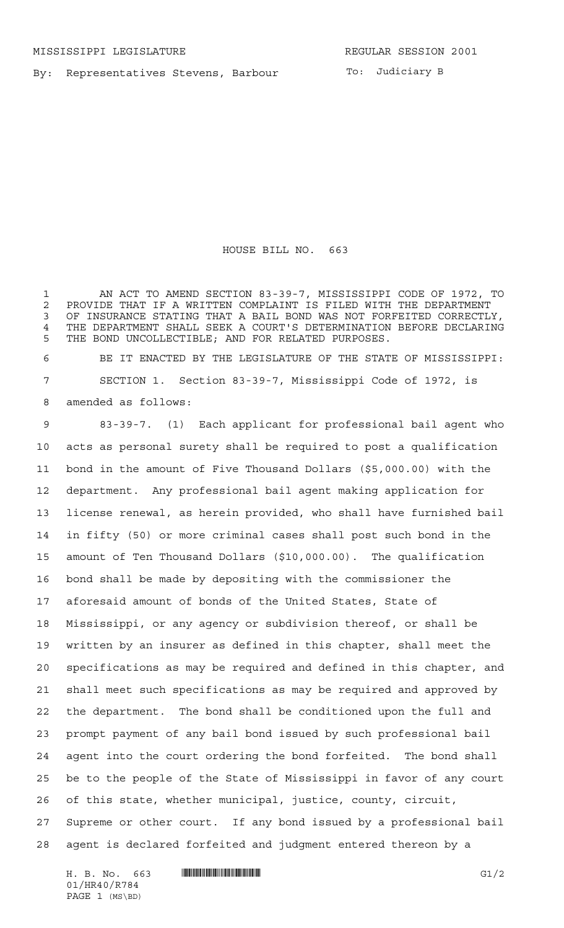By: Representatives Stevens, Barbour

To: Judiciary B

## HOUSE BILL NO. 663

 AN ACT TO AMEND SECTION 83-39-7, MISSISSIPPI CODE OF 1972, TO 2 PROVIDE THAT IF A WRITTEN COMPLAINT IS FILED WITH THE DEPARTMENT<br>3 OF INSURANCE STATING THAT A BAIL BOND WAS NOT FORFEITED CORRECTLY OF INSURANCE STATING THAT A BAIL BOND WAS NOT FORFEITED CORRECTLY, 4 THE DEPARTMENT SHALL SEEK A COURT'S DETERMINATION BEFORE DECLARING<br>5 THE BOND UNCOLLECTIBLE: AND FOR RELATED PURPOSES THE BOND UNCOLLECTIBLE; AND FOR RELATED PURPOSES.

 BE IT ENACTED BY THE LEGISLATURE OF THE STATE OF MISSISSIPPI: SECTION 1. Section 83-39-7, Mississippi Code of 1972, is amended as follows:

 83-39-7. (1) Each applicant for professional bail agent who acts as personal surety shall be required to post a qualification bond in the amount of Five Thousand Dollars (\$5,000.00) with the department. Any professional bail agent making application for license renewal, as herein provided, who shall have furnished bail in fifty (50) or more criminal cases shall post such bond in the amount of Ten Thousand Dollars (\$10,000.00). The qualification bond shall be made by depositing with the commissioner the aforesaid amount of bonds of the United States, State of Mississippi, or any agency or subdivision thereof, or shall be written by an insurer as defined in this chapter, shall meet the specifications as may be required and defined in this chapter, and shall meet such specifications as may be required and approved by the department. The bond shall be conditioned upon the full and prompt payment of any bail bond issued by such professional bail agent into the court ordering the bond forfeited. The bond shall be to the people of the State of Mississippi in favor of any court of this state, whether municipal, justice, county, circuit, Supreme or other court. If any bond issued by a professional bail agent is declared forfeited and judgment entered thereon by a

01/HR40/R784 PAGE 1 (MS\BD)

 $H. B. No. 663$  .  $H. B. 663$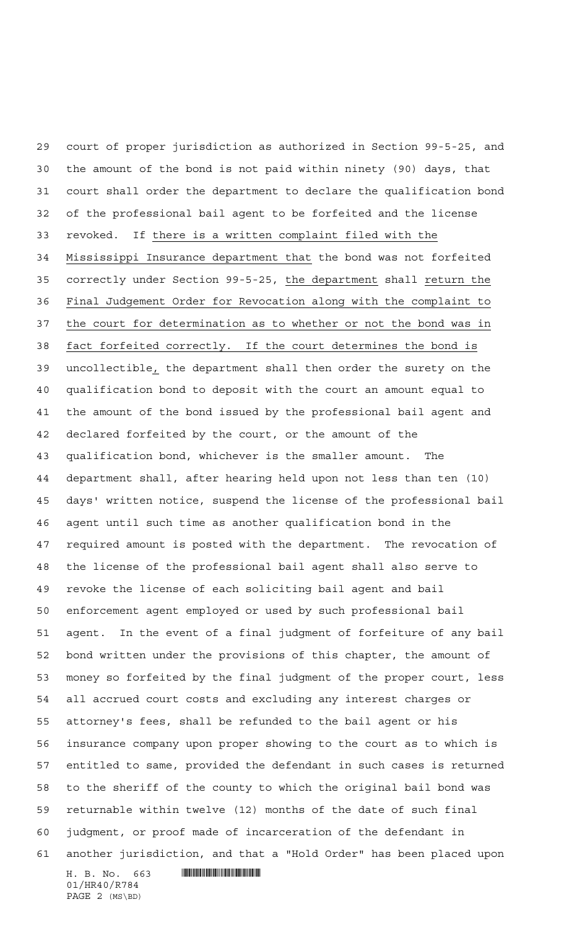H. B. No. 663 **. HARAOU RAYA ENCIRCO AND LA BUDGE OF A SET OF A BUDGE OF A BUDGE OF A BUDGE OF A BUDGE OF A BU**  court of proper jurisdiction as authorized in Section 99-5-25, and the amount of the bond is not paid within ninety (90) days, that court shall order the department to declare the qualification bond of the professional bail agent to be forfeited and the license revoked. If there is a written complaint filed with the Mississippi Insurance department that the bond was not forfeited 35 correctly under Section 99-5-25, the department shall return the Final Judgement Order for Revocation along with the complaint to the court for determination as to whether or not the bond was in fact forfeited correctly. If the court determines the bond is uncollectible, the department shall then order the surety on the qualification bond to deposit with the court an amount equal to the amount of the bond issued by the professional bail agent and declared forfeited by the court, or the amount of the qualification bond, whichever is the smaller amount. The department shall, after hearing held upon not less than ten (10) days' written notice, suspend the license of the professional bail agent until such time as another qualification bond in the required amount is posted with the department. The revocation of the license of the professional bail agent shall also serve to revoke the license of each soliciting bail agent and bail enforcement agent employed or used by such professional bail agent. In the event of a final judgment of forfeiture of any bail bond written under the provisions of this chapter, the amount of money so forfeited by the final judgment of the proper court, less all accrued court costs and excluding any interest charges or attorney's fees, shall be refunded to the bail agent or his insurance company upon proper showing to the court as to which is entitled to same, provided the defendant in such cases is returned to the sheriff of the county to which the original bail bond was returnable within twelve (12) months of the date of such final judgment, or proof made of incarceration of the defendant in another jurisdiction, and that a "Hold Order" has been placed upon

01/HR40/R784 PAGE 2 (MS\BD)